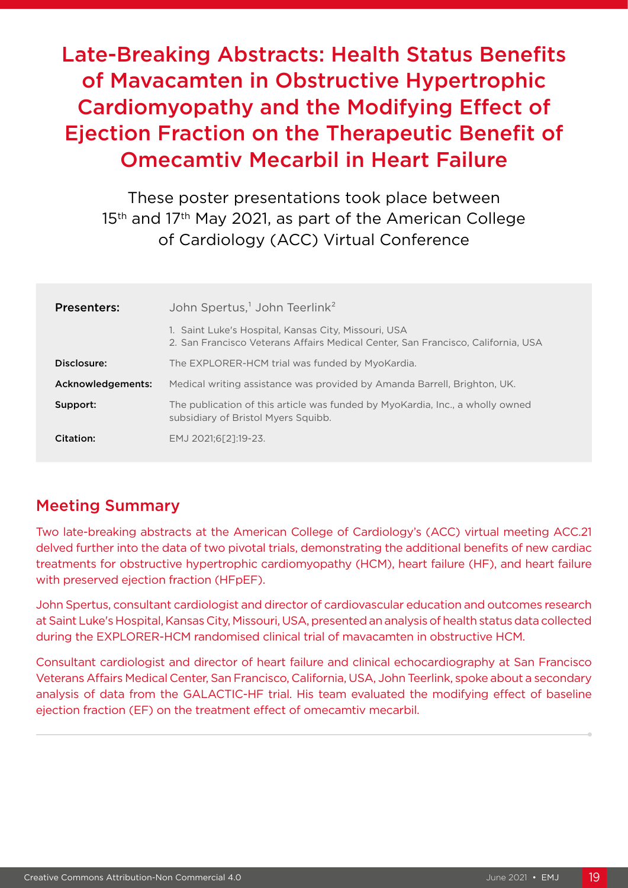# Late-Breaking Abstracts: Health Status Benefits of Mavacamten in Obstructive Hypertrophic Cardiomyopathy and the Modifying Effect of Ejection Fraction on the Therapeutic Benefit of Omecamtiv Mecarbil in Heart Failure

These poster presentations took place between 15<sup>th</sup> and 17<sup>th</sup> May 2021, as part of the American College of Cardiology (ACC) Virtual Conference

| <b>Presenters:</b> | John Spertus, <sup>1</sup> John Teerlink <sup>2</sup>                                                                                    |
|--------------------|------------------------------------------------------------------------------------------------------------------------------------------|
|                    | 1. Saint Luke's Hospital, Kansas City, Missouri, USA<br>2. San Francisco Veterans Affairs Medical Center, San Francisco, California, USA |
| Disclosure:        | The EXPLORER-HCM trial was funded by MyoKardia.                                                                                          |
| Acknowledgements:  | Medical writing assistance was provided by Amanda Barrell, Brighton, UK.                                                                 |
| Support:           | The publication of this article was funded by MyoKardia, Inc., a wholly owned<br>subsidiary of Bristol Myers Squibb.                     |
| Citation:          | EMJ 2021;6[2]:19-23.                                                                                                                     |

## Meeting Summary

Two late-breaking abstracts at the American College of Cardiology's (ACC) virtual meeting ACC.21 delved further into the data of two pivotal trials, demonstrating the additional benefits of new cardiac treatments for obstructive hypertrophic cardiomyopathy (HCM), heart failure (HF), and heart failure with preserved ejection fraction (HFpEF).

John Spertus, consultant cardiologist and director of cardiovascular education and outcomes research at Saint Luke's Hospital, Kansas City, Missouri, USA, presented an analysis of health status data collected during the EXPLORER-HCM randomised clinical trial of mavacamten in obstructive HCM.

Consultant cardiologist and director of heart failure and clinical echocardiography at San Francisco Veterans Affairs Medical Center, San Francisco, California, USA, John Teerlink, spoke about a secondary analysis of data from the GALACTIC-HF trial. His team evaluated the modifying effect of baseline ejection fraction (EF) on the treatment effect of omecamtiv mecarbil.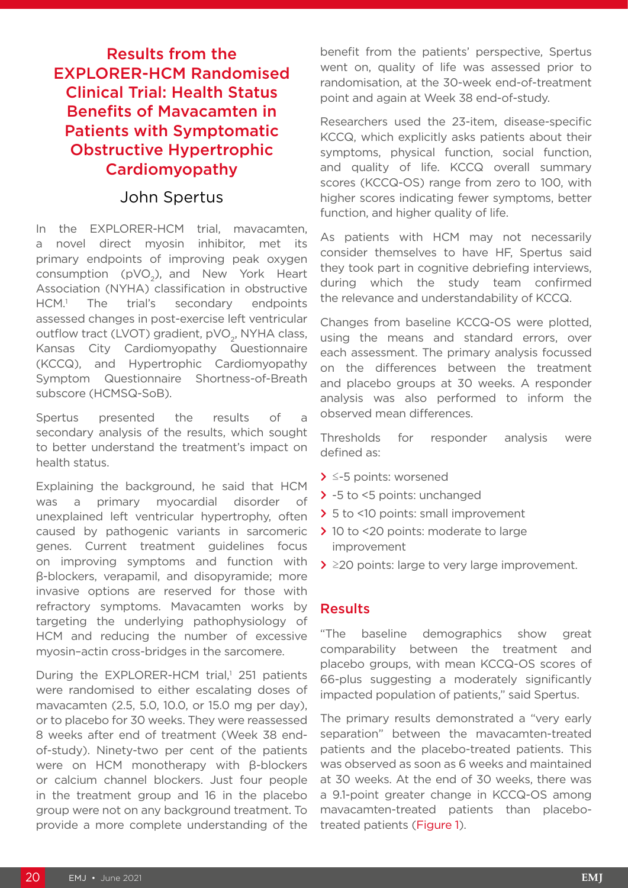# Results from the EXPLORER-HCM Randomised Clinical Trial: Health Status Benefits of Mavacamten in Patients with Symptomatic Obstructive Hypertrophic Cardiomyopathy

#### John Spertus

In the EXPLORER-HCM trial, mavacamten, a novel direct myosin inhibitor, met its primary endpoints of improving peak oxygen consumption (pVO<sub>2</sub>), and New York Heart Association (NYHA) classification in obstructive  $HCM<sup>1</sup>$  The trial's secondary endpoints assessed changes in post-exercise left ventricular outflow tract (LVOT) gradient, pVO<sub>2</sub>, NYHA class, Kansas City Cardiomyopathy Questionnaire (KCCQ), and Hypertrophic Cardiomyopathy Symptom Questionnaire Shortness-of-Breath subscore (HCMSQ-SoB).

Spertus presented the results of a secondary analysis of the results, which sought to better understand the treatment's impact on health status.

Explaining the background, he said that HCM was a primary myocardial disorder of unexplained left ventricular hypertrophy, often caused by pathogenic variants in sarcomeric genes. Current treatment guidelines focus on improving symptoms and function with β-blockers, verapamil, and disopyramide; more invasive options are reserved for those with refractory symptoms. Mavacamten works by targeting the underlying pathophysiology of HCM and reducing the number of excessive myosin–actin cross-bridges in the sarcomere.

During the EXPLORER-HCM trial,<sup>1</sup> 251 patients were randomised to either escalating doses of mavacamten (2.5, 5.0, 10.0, or 15.0 mg per day), or to placebo for 30 weeks. They were reassessed 8 weeks after end of treatment (Week 38 endof-study). Ninety-two per cent of the patients were on HCM monotherapy with β-blockers or calcium channel blockers. Just four people in the treatment group and 16 in the placebo group were not on any background treatment. To provide a more complete understanding of the

benefit from the patients' perspective, Spertus went on, quality of life was assessed prior to randomisation, at the 30-week end-of-treatment point and again at Week 38 end-of-study.

Researchers used the 23-item, disease-specific KCCQ, which explicitly asks patients about their symptoms, physical function, social function, and quality of life. KCCQ overall summary scores (KCCQ-OS) range from zero to 100, with higher scores indicating fewer symptoms, better function, and higher quality of life.

As patients with HCM may not necessarily consider themselves to have HF, Spertus said they took part in cognitive debriefing interviews, during which the study team confirmed the relevance and understandability of KCCQ.

Changes from baseline KCCQ-OS were plotted, using the means and standard errors, over each assessment. The primary analysis focussed on the differences between the treatment and placebo groups at 30 weeks. A responder analysis was also performed to inform the observed mean differences.

Thresholds for responder analysis were defined as:

- **>** ≤-5 points: worsened
- **>** -5 to <5 points: unchanged
- **>** 5 to <10 points: small improvement
- **>** 10 to <20 points: moderate to large improvement
- **>** ≥20 points: large to very large improvement.

#### Results

"The baseline demographics show great comparability between the treatment and placebo groups, with mean KCCQ-OS scores of 66-plus suggesting a moderately significantly impacted population of patients," said Spertus.

The primary results demonstrated a "very early separation" between the mavacamten-treated patients and the placebo-treated patients. This was observed as soon as 6 weeks and maintained at 30 weeks. At the end of 30 weeks, there was a 9.1-point greater change in KCCQ-OS among mavacamten-treated patients than placebotreated patients (Figure 1).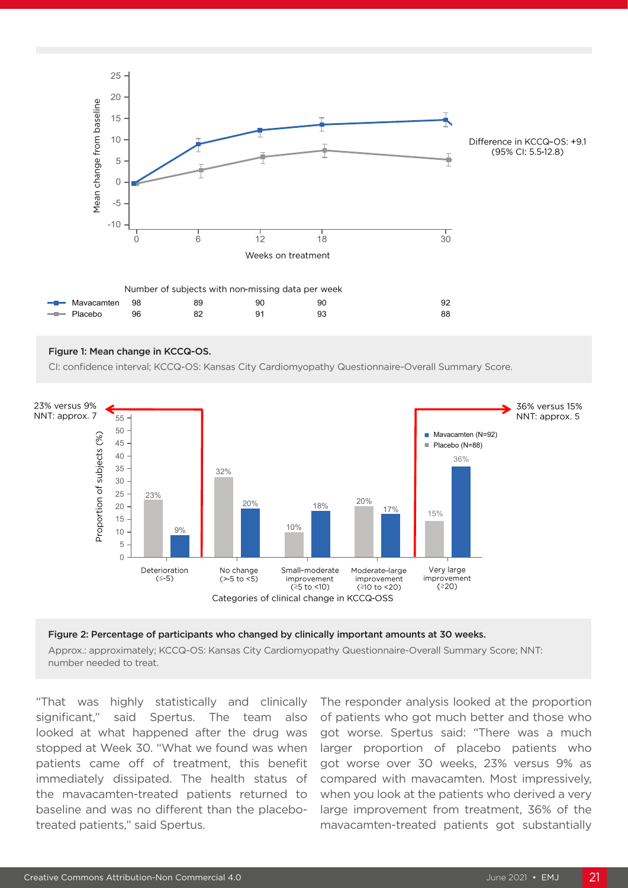

#### Figure 1: Mean change in KCCQ-OS.

CI: confidence interval; KCCQ-OS: Kansas City Cardiomyopathy Questionnaire-Overall Summary Score. 5



#### Figure 2: Percentage of participants who changed by clinically important amounts at 30 weeks.

Approx.: approximately; KCCQ-OS: Kansas City Cardiomyopathy Questionnaire-Overall Summary Score; NNT: number needed to treat.

"That was highly statistically and clinically significant," said Spertus. The team also looked at what happened after the drug was stopped at Week 30. "What we found was when patients came off of treatment, this benefit immediately dissipated. The health status of the mavacamten-treated patients returned to baseline and was no different than the placebotreated patients," said Spertus.

The responder analysis looked at the proportion of patients who got much better and those who got worse. Spertus said: "There was a much larger proportion of placebo patients who got worse over 30 weeks, 23% versus 9% as compared with mavacamten. Most impressively, when you look at the patients who derived a very large improvement from treatment, 36% of the mavacamten-treated patients got substantially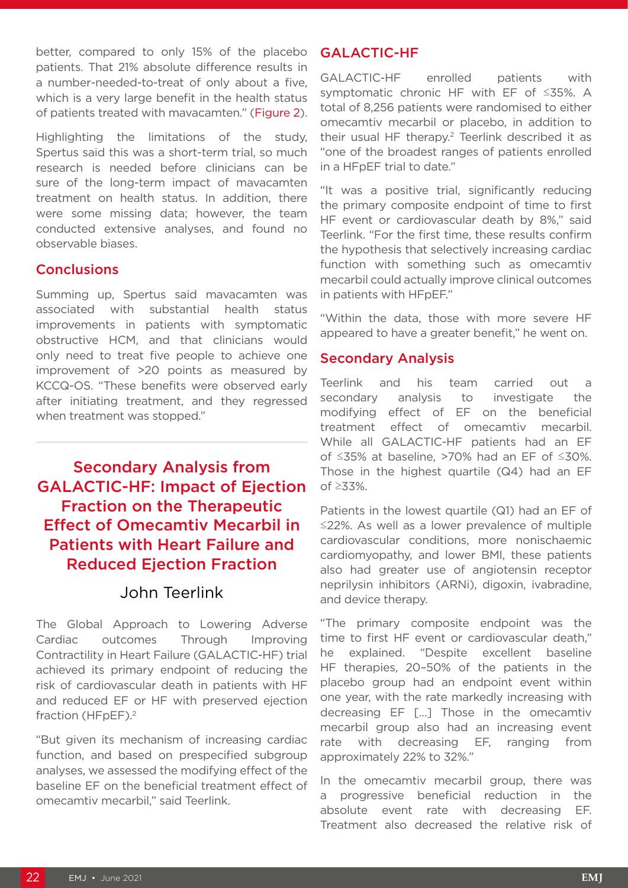better, compared to only 15% of the placebo patients. That 21% absolute difference results in a number-needed-to-treat of only about a five, which is a very large benefit in the health status of patients treated with mavacamten." (Figure 2).

Highlighting the limitations of the study, Spertus said this was a short-term trial, so much research is needed before clinicians can be sure of the long-term impact of mavacamten treatment on health status. In addition, there were some missing data; however, the team conducted extensive analyses, and found no observable biases.

#### **Conclusions**

Summing up, Spertus said mavacamten was associated with substantial health status improvements in patients with symptomatic obstructive HCM, and that clinicians would only need to treat five people to achieve one improvement of >20 points as measured by KCCQ-OS. "These benefits were observed early after initiating treatment, and they regressed when treatment was stopped."

# Secondary Analysis from GALACTIC-HF: Impact of Ejection Fraction on the Therapeutic Effect of Omecamtiv Mecarbil in Patients with Heart Failure and Reduced Ejection Fraction

## John Teerlink

The Global Approach to Lowering Adverse Cardiac outcomes Through Improving Contractility in Heart Failure (GALACTIC-HF) trial achieved its primary endpoint of reducing the risk of cardiovascular death in patients with HF and reduced EF or HF with preserved ejection fraction (HFpEF).<sup>2</sup>

"But given its mechanism of increasing cardiac function, and based on prespecified subgroup analyses, we assessed the modifying effect of the baseline EF on the beneficial treatment effect of omecamtiv mecarbil," said Teerlink.

#### GALACTIC-HF

GALACTIC-HF enrolled patients with symptomatic chronic HF with EF of ≤35%. A total of 8,256 patients were randomised to either omecamtiv mecarbil or placebo, in addition to their usual HF therapy.<sup>2</sup> Teerlink described it as "one of the broadest ranges of patients enrolled in a HFpEF trial to date."

"It was a positive trial, significantly reducing the primary composite endpoint of time to first HF event or cardiovascular death by 8%," said Teerlink. "For the first time, these results confirm the hypothesis that selectively increasing cardiac function with something such as omecamtiv mecarbil could actually improve clinical outcomes in patients with HFpEF."

"Within the data, those with more severe HF appeared to have a greater benefit," he went on.

#### Secondary Analysis

Teerlink and his team carried out a secondary analysis to investigate the modifying effect of EF on the beneficial treatment effect of omecamtiv mecarbil. While all GALACTIC-HF patients had an EF of ≤35% at baseline, >70% had an EF of ≤30%. Those in the highest quartile (Q4) had an EF of ≥33%.

Patients in the lowest quartile (Q1) had an EF of ≤22%. As well as a lower prevalence of multiple cardiovascular conditions, more nonischaemic cardiomyopathy, and lower BMI, these patients also had greater use of angiotensin receptor neprilysin inhibitors (ARNi), digoxin, ivabradine, and device therapy.

"The primary composite endpoint was the time to first HF event or cardiovascular death," he explained. "Despite excellent baseline HF therapies, 20–50% of the patients in the placebo group had an endpoint event within one year, with the rate markedly increasing with decreasing EF […] Those in the omecamtiv mecarbil group also had an increasing event rate with decreasing EF, ranging from approximately 22% to 32%."

In the omecamtiv mecarbil group, there was a progressive beneficial reduction in the absolute event rate with decreasing EF. Treatment also decreased the relative risk of